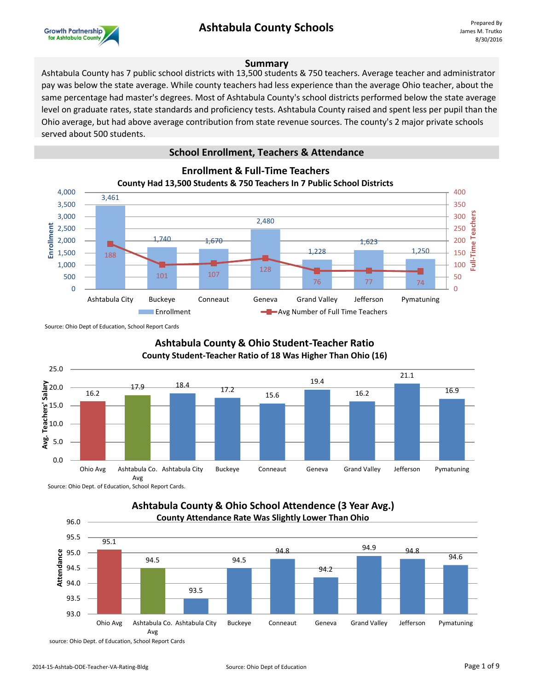## **Ashtabula County Schools**



#### **Summary**

Ashtabula County has 7 public school districts with 13,500 students & 750 teachers. Average teacher and administrator pay was below the state average. While county teachers had less experience than the average Ohio teacher, about the same percentage had master's degrees. Most of Ashtabula County's school districts performed below the state average level on graduate rates, state standards and proficiency tests. Ashtabula County raised and spent less per pupil than the Ohio average, but had above average contribution from state revenue sources. The county's 2 major private schools served about 500 students.

#### **School Enrollment, Teachers & Attendance**



Source: Ohio Dept of Education, School Report Cards



Source: Ohio Dept. of Education, School Report Cards.

#### **Ashtabula County & Ohio School Attendence (3 Year Avg.) County Attendance Rate Was Slightly Lower Than Ohio**

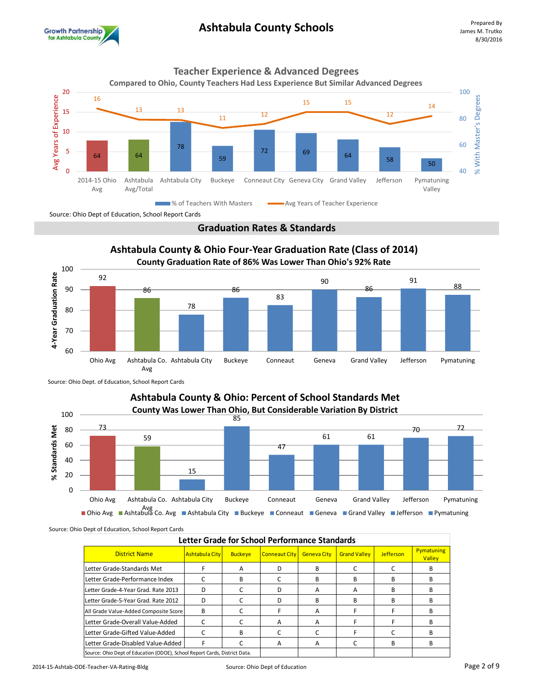









Source: Ohio Dept. of Education, School Report Cards

#### **Ashtabula County & Ohio: Percent of School Standards Met County Was Lower Than Ohio, But Considerable Variation By District** 100 85 73 70 72 % Standards Met **% Standards Met** 80 61 61 59 60 47 40 15 20 0

Avg<br>Ohio Avg ■ Ashtabula Co. Avg ■ Ashtabula City ■ Buckeye ■ Conneaut ■ Geneva ■ Grand Valley ■ Jefferson ■ Pymatuning

Source: Ohio Dept of Education, School Report Cards

| Letter Grade for School Performance Standards                              |                       |                |                      |                    |                     |                  |                      |  |  |  |
|----------------------------------------------------------------------------|-----------------------|----------------|----------------------|--------------------|---------------------|------------------|----------------------|--|--|--|
| <b>District Name</b>                                                       | <b>Ashtabula City</b> | <b>Buckeye</b> | <b>Conneaut City</b> | <b>Geneva City</b> | <b>Grand Valley</b> | <b>Jefferson</b> | Pymatuning<br>Valley |  |  |  |
| Letter Grade-Standards Met                                                 |                       | A              |                      | R                  |                     |                  | R                    |  |  |  |
| Letter Grade-Performance Index                                             |                       | B              |                      | в                  | в                   | В                | в                    |  |  |  |
| Letter Grade-4-Year Grad. Rate 2013                                        | D                     |                | D                    | А                  | A                   | R                | R                    |  |  |  |
| Letter Grade-5-Year Grad. Rate 2012                                        | D                     |                | D                    | R                  | R                   | в                | R                    |  |  |  |
| All Grade Value-Added Composite Score                                      | B                     |                |                      | А                  |                     |                  | в                    |  |  |  |
| Letter Grade-Overall Value-Added                                           |                       |                | А                    | A                  |                     |                  | R                    |  |  |  |
| Letter Grade-Gifted Value-Added                                            |                       | B              |                      |                    |                     |                  | R                    |  |  |  |
| Letter Grade-Disabled Value-Added                                          | F                     |                | A                    | A                  |                     | R                | в                    |  |  |  |
| Source: Ohio Dept of Education (ODOE), School Report Cards, District Data. |                       |                |                      |                    |                     |                  |                      |  |  |  |

Ohio Avg Ashtabula Co. Ashtabula City Buckeye Conneaut Geneva Grand Valley Jefferson Pymatuning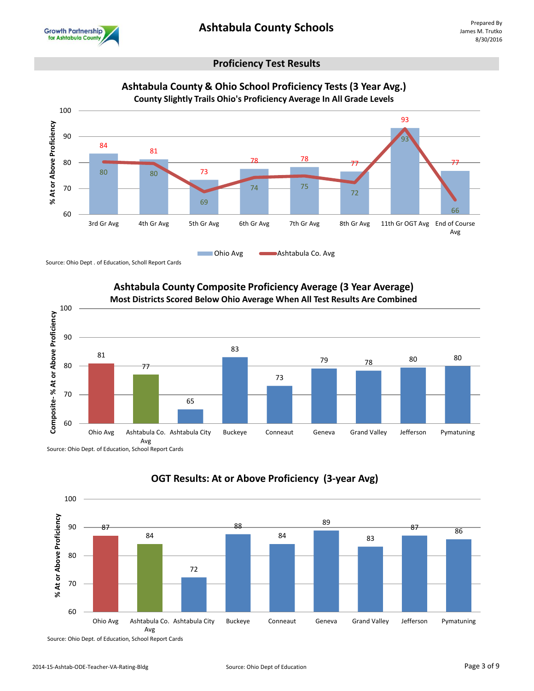

#### **Proficiency Test Results**



Source: Ohio Dept . of Education, Scholl Report Cards



# **Ashtabula County Composite Proficiency Average (3 Year Average)**

Source: Ohio Dept. of Education, School Report Cards



### **OGT Results: At or Above Proficiency (3-year Avg)**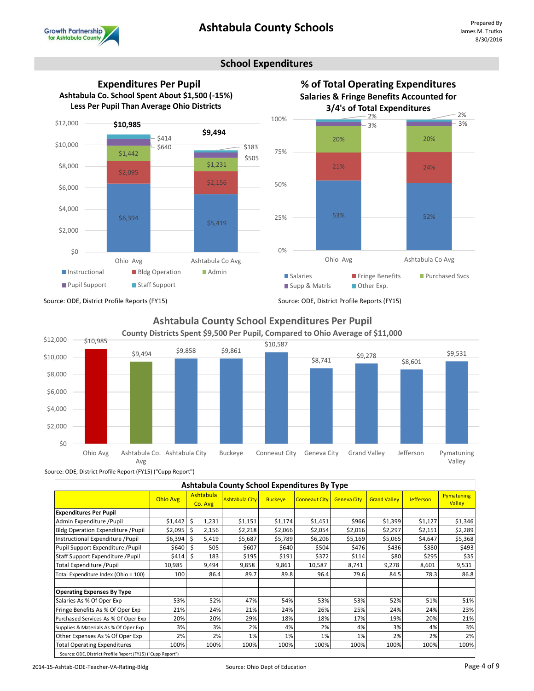

#### **School Expenditures**







#### **Ashtabula County School Expenditures Per Pupil County Districts Spent \$9,500 Per Pupil, Compared to Ohio Average of \$11,000**



Source: ODE, District Profile Report (FY15) ("Cupp Report")

| Ashtabula County School Expenditures By Type                |                 |                      |                       |                |                      |                    |                     |           |                             |  |
|-------------------------------------------------------------|-----------------|----------------------|-----------------------|----------------|----------------------|--------------------|---------------------|-----------|-----------------------------|--|
|                                                             | <b>Ohio Avg</b> | Ashtabula<br>Co. Avg | <b>Ashtabula City</b> | <b>Buckeye</b> | <b>Conneaut City</b> | <b>Geneva City</b> | <b>Grand Valley</b> | Jefferson | <b>Pymatuning</b><br>Valley |  |
| <b>Expenditures Per Pupil</b>                               |                 |                      |                       |                |                      |                    |                     |           |                             |  |
| Admin Expenditure / Pupil                                   | $$1,442$ \$     | 1,231                | \$1,151               | \$1,174        | \$1,451              | \$966              | \$1,399             | \$1,127   | \$1,346                     |  |
| Bldg Operation Expenditure / Pupil                          | \$2,095         | - Ś<br>2,156         | \$2,218               | \$2,066        | \$2,054              | \$2,016            | \$2,297             | \$2,151   | \$2,289                     |  |
| Instructional Expenditure / Pupil                           | \$6,394         | - Ś<br>5,419         | \$5,687               | \$5,789        | \$6,206              | \$5,169            | \$5,065             | \$4,647   | \$5,368                     |  |
| Pupil Support Expenditure / Pupil                           | \$640           | -Ś<br>505            | \$607                 | \$640          | \$504                | \$476              | \$436               | \$380     | \$493                       |  |
| Staff Support Expenditure / Pupil                           | \$414           | Ŝ.<br>183            | \$195                 | \$191          | \$372                | \$114              | \$80                | \$295     | \$35                        |  |
| Total Expenditure / Pupil                                   | 10,985          | 9,494                | 9,858                 | 9,861          | 10,587               | 8,741              | 9,278               | 8,601     | 9,531                       |  |
| Total Expenditure Index (Ohio = 100)                        | 100             | 86.4                 | 89.7                  | 89.8           | 96.4                 | 79.6               | 84.5                | 78.3      | 86.8                        |  |
| <b>Operating Expenses By Type</b>                           |                 |                      |                       |                |                      |                    |                     |           |                             |  |
| Salaries As % Of Oper Exp                                   | 53%             | 52%                  | 47%                   | 54%            | 53%                  | 53%                | 52%                 | 51%       | 51%                         |  |
| Fringe Benefits As % Of Oper Exp                            | 21%             | 24%                  | 21%                   | 24%            | 26%                  | 25%                | 24%                 | 24%       | 23%                         |  |
| Purchased Services As % Of Oper Exp                         | 20%             | 20%                  | 29%                   | 18%            | 18%                  | 17%                | 19%                 | 20%       | 21%                         |  |
| Supplies & Materials As % Of Oper Exp                       | 3%              | 3%                   | 2%                    | 4%             | 2%                   | 4%                 | 3%                  | 4%        | 3%                          |  |
| Other Expenses As % Of Oper Exp                             | 2%              | 2%                   | 1%                    | 1%             | 1%                   | 1%                 | 2%                  | 2%        | 2%                          |  |
| <b>Total Operating Expenditures</b>                         | 100%            | 100%                 | 100%                  | 100%           | 100%                 | 100%               | 100%                | 100%      | 100%                        |  |
| Source: ODE, District Profile Report (FY15) ("Cupp Report") |                 |                      |                       |                |                      |                    |                     |           |                             |  |

2014-15-Ashtab-ODE-Teacher-VA-Rating-Bldg entitled and the Source: Ohio Dept of Education Page 4 of 9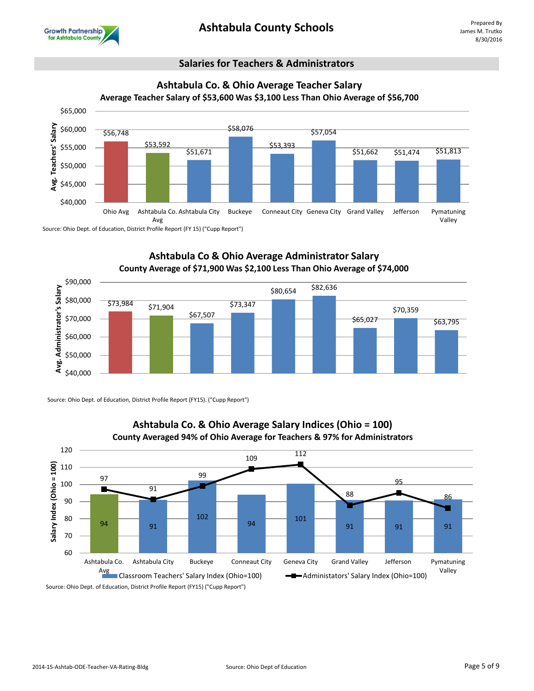

#### **Salaries for Teachers & Administrators**



Source: Ohio Dept. of Education, District Profile Report (FY 15) ("Cupp Report")

#### **Ashtabula Co & Ohio Average Administrator Salary County Average of \$71,900 Was \$2,100 Less Than Ohio Average of \$74,000**



Source: Ohio Dept. of Education, District Profile Report (FY15). ("Cupp Report")



#### **Ashtabula Co. & Ohio Average Salary Indices (Ohio = 100) County Averaged 94% of Ohio Average for Teachers & 97% for Administrators**

Source: Ohio Dept. of Education, District Profile Report (FY15) ("Cupp Report")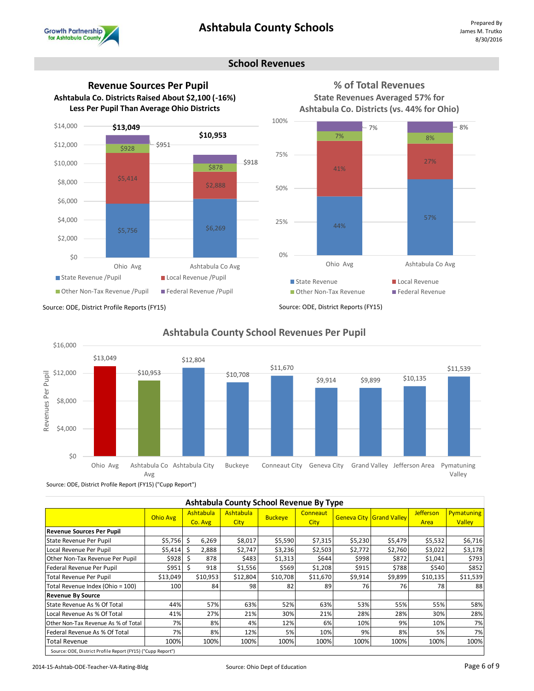

#### **School Revenues**







**% of Total Revenues State Revenues Averaged 57% for** 

Source: ODE, District Profile Reports (FY15)



#### **Ashtabula County School Revenues Per Pupil**

Source: ODE, District Profile Report (FY15) ("Cupp Report")

| Ashtabula County School Revenue By Type |                                                             |                      |                                 |                |                         |         |                                 |                   |                             |  |
|-----------------------------------------|-------------------------------------------------------------|----------------------|---------------------------------|----------------|-------------------------|---------|---------------------------------|-------------------|-----------------------------|--|
|                                         | Ohio Avg                                                    | Ashtabula<br>Co. Avg | <b>Ashtabula</b><br><b>City</b> | <b>Buckeye</b> | Conneaut<br><b>City</b> |         | <b>Geneva City Grand Valley</b> | Jefferson<br>Area | Pymatuning<br><b>Valley</b> |  |
| <b>Revenue Sources Per Pupil</b>        |                                                             |                      |                                 |                |                         |         |                                 |                   |                             |  |
| State Revenue Per Pupil                 | \$5,756                                                     | Ŝ.<br>6,269          | \$8,017                         | \$5,590        | \$7,315                 | \$5,230 | \$5,479                         | \$5,532           | \$6,716                     |  |
| Local Revenue Per Pupil                 | \$5,414                                                     | Ś<br>2,888           | \$2,747                         | \$3,236        | \$2,503                 | \$2,772 | \$2,760                         | \$3,022           | \$3,178                     |  |
| Other Non-Tax Revenue Per Pupil         | \$928                                                       | -\$<br>878           | \$483                           | \$1,313        | \$644                   | \$998   | \$872                           | \$1,041           | \$793                       |  |
| Federal Revenue Per Pupil               | \$951                                                       | Ŝ<br>918             | \$1,556                         | \$569          | \$1,208                 | \$915   | \$788                           | \$540             | \$852                       |  |
| <b>Total Revenue Per Pupil</b>          | \$13,049                                                    | \$10,953             | \$12,804                        | \$10,708       | \$11,670                | \$9,914 | \$9,899                         | \$10,135          | \$11,539                    |  |
| Total Revenue Index (Ohio = 100)        | 100                                                         | 84                   | 98                              | 82             | 89                      | 76      | 76 I                            | 78                | 88                          |  |
| <b>Revenue By Source</b>                |                                                             |                      |                                 |                |                         |         |                                 |                   |                             |  |
| State Revenue As % Of Total             | 44%                                                         | 57%                  | 63%                             | 52%            | 63%                     | 53%     | 55%                             | 55%               | 58%                         |  |
| Local Revenue As % Of Total             | 41%                                                         | 27%                  | 21%                             | 30%            | 21%                     | 28%     | 28%                             | 30%               | 28%                         |  |
| Other Non-Tax Revenue As % of Total     | 7%                                                          | 8%                   | 4%                              | 12%            | 6%                      | 10%     | 9%                              | 10%               | 7%                          |  |
| Federal Revenue As % Of Total           | 7%                                                          | 8%                   | 12%                             | 5%             | 10%                     | 9%      | 8%                              | 5%                | 7%                          |  |
| Total Revenue                           | 100%                                                        | 100%                 | 100%                            | 100%           | 100%                    | 100%    | 100%                            | 100%              | 100%                        |  |
|                                         | Source: ODE, District Profile Report (FY15) ("Cupp Report") |                      |                                 |                |                         |         |                                 |                   |                             |  |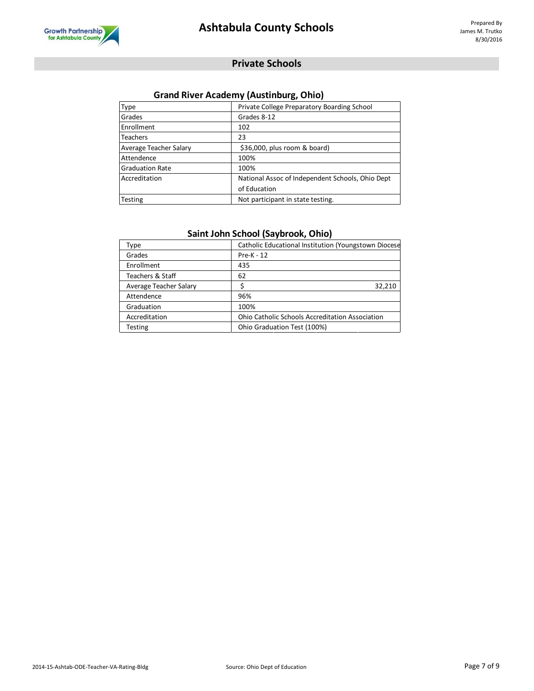

#### **Private Schools**

#### **Grand River Academy (Austinburg, Ohio)**

| Type                   | Private College Preparatory Boarding School      |
|------------------------|--------------------------------------------------|
| Grades                 | Grades 8-12                                      |
| Enrollment             | 102                                              |
| <b>Teachers</b>        | 23                                               |
| Average Teacher Salary | \$36,000, plus room & board)                     |
| Attendence             | 100%                                             |
| <b>Graduation Rate</b> | 100%                                             |
| Accreditation          | National Assoc of Independent Schools, Ohio Dept |
|                        | of Education                                     |
| Testing                | Not participant in state testing.                |

#### **Saint John School (Saybrook, Ohio)**

| Type                   | Catholic Educational Institution (Youngstown Diocese   |
|------------------------|--------------------------------------------------------|
| Grades                 | Pre-K - 12                                             |
| Enrollment             | 435                                                    |
| Teachers & Staff       | 62                                                     |
| Average Teacher Salary | 32,210                                                 |
| Attendence             | 96%                                                    |
| Graduation             | 100%                                                   |
| Accreditation          | <b>Ohio Catholic Schools Accreditation Association</b> |
| <b>Testing</b>         | Ohio Graduation Test (100%)                            |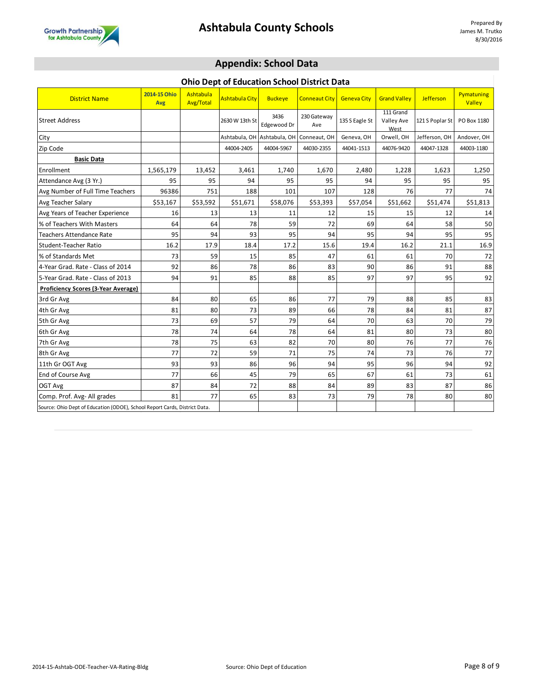

#### **Appendix: School Data**

#### **Ohio Dept of Education School District Data**

| <b>District Name</b>                                                       | 2014-15 Ohio<br>Avg | Ashtabula<br>Avg/Total | <b>Ashtabula City</b> | <b>Buckeye</b>      | <b>Conneaut City</b> | <b>Geneva City</b> | <b>Grand Valley</b>             | <b>Jefferson</b> | Pymatuning<br>Valley |
|----------------------------------------------------------------------------|---------------------|------------------------|-----------------------|---------------------|----------------------|--------------------|---------------------------------|------------------|----------------------|
| <b>Street Address</b>                                                      |                     |                        | 2630 W 13th St        | 3436<br>Edgewood Dr | 230 Gateway<br>Ave   | 135 S Eagle St     | 111 Grand<br>Valley Ave<br>West | 121 S Poplar St  | PO Box 1180          |
| City                                                                       |                     |                        | Ashtabula, OH         | Ashtabula, OH       | Conneaut, OH         | Geneva, OH         | Orwell, OH                      | Jefferson, OH    | Andover, OH          |
| Zip Code                                                                   |                     |                        | 44004-2405            | 44004-5967          | 44030-2355           | 44041-1513         | 44076-9420                      | 44047-1328       | 44003-1180           |
| <b>Basic Data</b>                                                          |                     |                        |                       |                     |                      |                    |                                 |                  |                      |
| Enrollment                                                                 | 1,565,179           | 13,452                 | 3,461                 | 1,740               | 1,670                | 2,480              | 1,228                           | 1,623            | 1,250                |
| Attendance Avg (3 Yr.)                                                     | 95                  | 95                     | 94                    | 95                  | 95                   | 94                 | 95                              | 95               | 95                   |
| Avg Number of Full Time Teachers                                           | 96386               | 751                    | 188                   | 101                 | 107                  | 128                | 76                              | 77               | 74                   |
| Avg Teacher Salary                                                         | \$53,167            | \$53,592               | \$51,671              | \$58,076            | \$53,393             | \$57,054           | \$51,662                        | \$51,474         | \$51,813             |
| Avg Years of Teacher Experience                                            | 16                  | 13                     | 13                    | 11                  | 12                   | 15                 | 15                              | 12               | 14                   |
| % of Teachers With Masters                                                 | 64                  | 64                     | 78                    | 59                  | 72                   | 69                 | 64                              | 58               | 50                   |
| <b>Teachers Attendance Rate</b>                                            | 95                  | 94                     | 93                    | 95                  | 94                   | 95                 | 94                              | 95               | 95                   |
| Student-Teacher Ratio                                                      | 16.2                | 17.9                   | 18.4                  | 17.2                | 15.6                 | 19.4               | 16.2                            | 21.1             | 16.9                 |
| % of Standards Met                                                         | 73                  | 59                     | 15                    | 85                  | 47                   | 61                 | 61                              | 70               | 72                   |
| 4-Year Grad. Rate - Class of 2014                                          | 92                  | 86                     | 78                    | 86                  | 83                   | 90                 | 86                              | 91               | 88                   |
| 5-Year Grad. Rate - Class of 2013                                          | 94                  | 91                     | 85                    | 88                  | 85                   | 97                 | 97                              | 95               | 92                   |
| <b>Proficiency Scores (3-Year Average)</b>                                 |                     |                        |                       |                     |                      |                    |                                 |                  |                      |
| 3rd Gr Avg                                                                 | 84                  | 80                     | 65                    | 86                  | 77                   | 79                 | 88                              | 85               | 83                   |
| 4th Gr Avg                                                                 | 81                  | 80                     | 73                    | 89                  | 66                   | 78                 | 84                              | 81               | 87                   |
| 5th Gr Avg                                                                 | 73                  | 69                     | 57                    | 79                  | 64                   | 70                 | 63                              | 70               | 79                   |
| 6th Gr Avg                                                                 | 78                  | 74                     | 64                    | 78                  | 64                   | 81                 | 80                              | 73               | 80                   |
| 7th Gr Avg                                                                 | 78                  | 75                     | 63                    | 82                  | 70                   | 80                 | 76                              | 77               | 76                   |
| 8th Gr Avg                                                                 | 77                  | 72                     | 59                    | 71                  | 75                   | 74                 | 73                              | 76               | 77                   |
| 11th Gr OGT Avg                                                            | 93                  | 93                     | 86                    | 96                  | 94                   | 95                 | 96                              | 94               | 92                   |
| End of Course Avg                                                          | 77                  | 66                     | 45                    | 79                  | 65                   | 67                 | 61                              | 73               | 61                   |
| OGT Avg                                                                    | 87                  | 84                     | 72                    | 88                  | 84                   | 89                 | 83                              | 87               | 86                   |
| Comp. Prof. Avg- All grades                                                | 81                  | 77                     | 65                    | 83                  | 73                   | 79                 | 78                              | 80               | 80                   |
| Source: Ohio Dept of Education (ODOE), School Report Cards, District Data. |                     |                        |                       |                     |                      |                    |                                 |                  |                      |